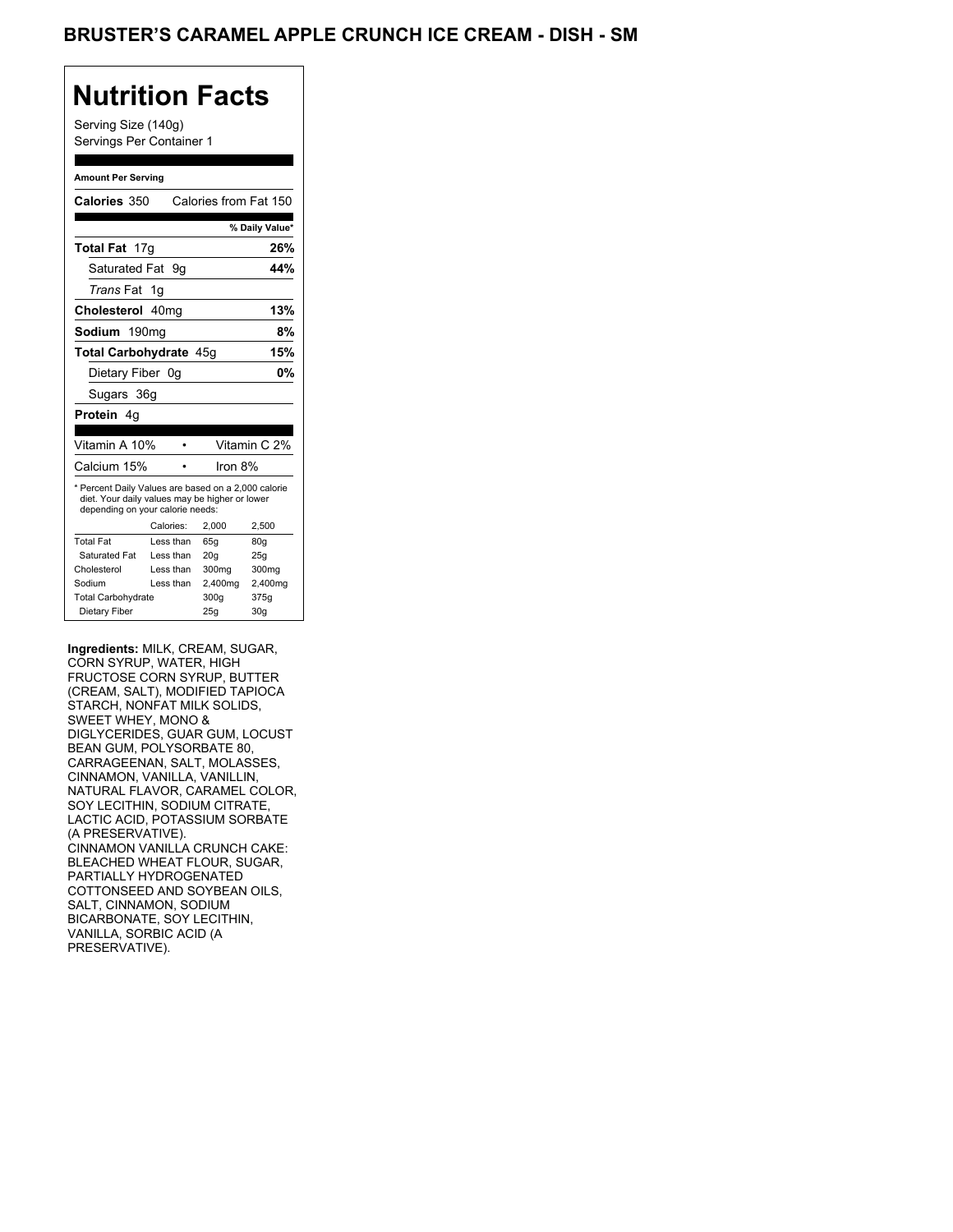### BRUSTER'S CARAMEL APPLE CRUNCH ICE CREAM - DISH - SM

## **Nutrition Facts**

Serving Size (140g) Servings Per Container 1

#### **Amount Per Serving**

| Calories 350                                                                                                                              |    |           | Calories from Fat 150 |                |
|-------------------------------------------------------------------------------------------------------------------------------------------|----|-----------|-----------------------|----------------|
|                                                                                                                                           |    |           |                       | % Daily Value* |
| <b>Total Fat</b> 17g                                                                                                                      |    |           |                       | 26%            |
| Saturated Fat 9q                                                                                                                          |    |           |                       | 44%            |
| <i>Trans</i> Fat                                                                                                                          | 1g |           |                       |                |
| Cholesterol 40mg                                                                                                                          |    |           |                       | 13%            |
| Sodium 190mg                                                                                                                              |    |           |                       | 8%             |
| <b>Total Carbohydrate 45g</b>                                                                                                             |    |           | 15%                   |                |
| Dietary Fiber 0q                                                                                                                          |    |           |                       | 0%             |
| Sugars 36g                                                                                                                                |    |           |                       |                |
| <b>Protein</b> 4q                                                                                                                         |    |           |                       |                |
|                                                                                                                                           |    |           |                       |                |
| Vitamin A 10%                                                                                                                             |    |           |                       | Vitamin C 2%   |
| Calcium 15%                                                                                                                               |    |           | Iron 8%               |                |
| * Percent Daily Values are based on a 2,000 calorie<br>diet. Your daily values may be higher or lower<br>depending on your calorie needs: |    |           |                       |                |
|                                                                                                                                           |    | Calories: | 2.000                 | 2,500          |
| <b>Total Fat</b>                                                                                                                          |    | Less than | 65q                   | 80q            |
| Saturated Fat                                                                                                                             |    | Less than | 20q                   | 25q            |
| Cholesterol                                                                                                                               |    | Less than | 300mg                 | 300mg          |
| Sodium                                                                                                                                    |    | Less than | 2,400mg               | 2,400mg        |
| <b>Total Carbohydrate</b>                                                                                                                 |    |           | 300g                  | 375g           |
| Dietary Fiber                                                                                                                             |    |           | 25q                   | 30q            |

**Ingredients:** MILK, CREAM, SUGAR, CORN SYRUP, WATER, HIGH FRUCTOSE CORN SYRUP, BUTTER (CREAM, SALT), MODIFIED TAPIOCA STARCH, NONFAT MILK SOLIDS, SWEET WHEY, MONO & DIGLYCERIDES, GUAR GUM, LOCUST BEAN GUM, POLYSORBATE 80, CARRAGEENAN, SALT, MOLASSES, CINNAMON, VANILLA, VANILLIN, NATURAL FLAVOR, CARAMEL COLOR, SOY LECITHIN, SODIUM CITRATE, LACTIC ACID, POTASSIUM SORBATE (A PRESERVATIVE). CINNAMON VANILLA CRUNCH CAKE: BLEACHED WHEAT FLOUR, SUGAR, PARTIALLY HYDROGENATED COTTONSEED AND SOYBEAN OILS, SALT, CINNAMON, SODIUM BICARBONATE, SOY LECITHIN, VANILLA, SORBIC ACID (A PRESERVATIVE).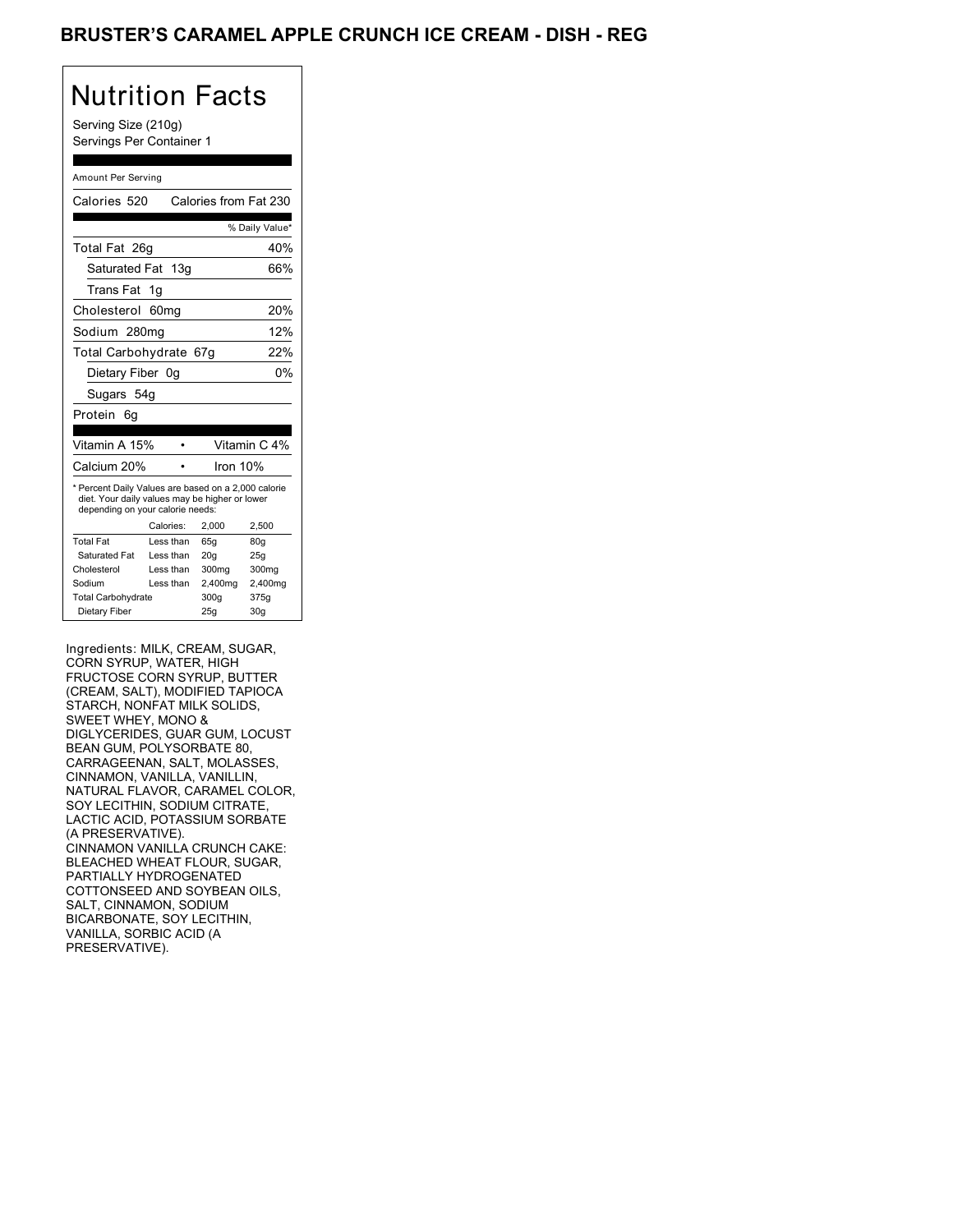### BRUSTER'S CARAMEL APPLE CRUNCH ICE CREAM - DISH - REG

# Nutrition Facts

Serving Size (210g) Servings Per Container 1

#### Amount Per Serving

| Calories 520                                                                                                                              |                  |         | Calories from Fat 230 |
|-------------------------------------------------------------------------------------------------------------------------------------------|------------------|---------|-----------------------|
|                                                                                                                                           |                  |         | % Daily Value*        |
| Total Fat 26q                                                                                                                             |                  |         | 40%                   |
| Saturated Fat 13g                                                                                                                         |                  |         | 66%                   |
| Trans Fat                                                                                                                                 | 1g               |         |                       |
| Cholesterol                                                                                                                               | 60 <sub>mq</sub> |         | 20%                   |
| Sodium 280mg                                                                                                                              |                  |         | 12%                   |
| Total Carbohydrate 67g                                                                                                                    |                  |         | 22%                   |
| Dietary Fiber 0q                                                                                                                          |                  |         | 0%                    |
| Sugars 54g                                                                                                                                |                  |         |                       |
| Protein<br>6q                                                                                                                             |                  |         |                       |
|                                                                                                                                           |                  |         |                       |
| Vitamin A 15%                                                                                                                             |                  |         | Vitamin C 4%          |
| Calcium 20%                                                                                                                               |                  |         | Iron 10%              |
| * Percent Daily Values are based on a 2,000 calorie<br>diet. Your daily values may be higher or lower<br>depending on your calorie needs: |                  |         |                       |
|                                                                                                                                           | Calories:        | 2.000   | 2,500                 |
| <b>Total Fat</b>                                                                                                                          | Less than        | 65q     | 80q                   |
| Saturated Fat                                                                                                                             | Less than        | 20q     | 25q                   |
| Cholesterol                                                                                                                               | Less than        | 300mg   | 300 <sub>mq</sub>     |
| Sodium                                                                                                                                    | Less than        | 2,400mg | 2,400mg               |
| <b>Total Carbohydrate</b>                                                                                                                 |                  | 300q    | 375g                  |
| Dietary Fiber                                                                                                                             |                  | 25g     | 30 <sub>g</sub>       |
|                                                                                                                                           |                  |         |                       |

Ingredients: MILK, CREAM, SUGAR, CORN SYRUP, WATER, HIGH FRUCTOSE CORN SYRUP, BUTTER (CREAM, SALT), MODIFIED TAPIOCA STARCH, NONFAT MILK SOLIDS, SWEET WHEY, MONO & DIGLYCERIDES, GUAR GUM, LOCUST BEAN GUM, POLYSORBATE 80, CARRAGEENAN, SALT, MOLASSES, CINNAMON, VANILLA, VANILLIN, NATURAL FLAVOR, CARAMEL COLOR, SOY LECITHIN, SODIUM CITRATE, LACTIC ACID, POTASSIUM SORBATE (A PRESERVATIVE). CINNAMON VANILLA CRUNCH CAKE: BLEACHED WHEAT FLOUR, SUGAR, PARTIALLY HYDROGENATED COTTONSEED AND SOYBEAN OILS, SALT, CINNAMON, SODIUM BICARBONATE, SOY LECITHIN, VANILLA, SORBIC ACID (A PRESERVATIVE).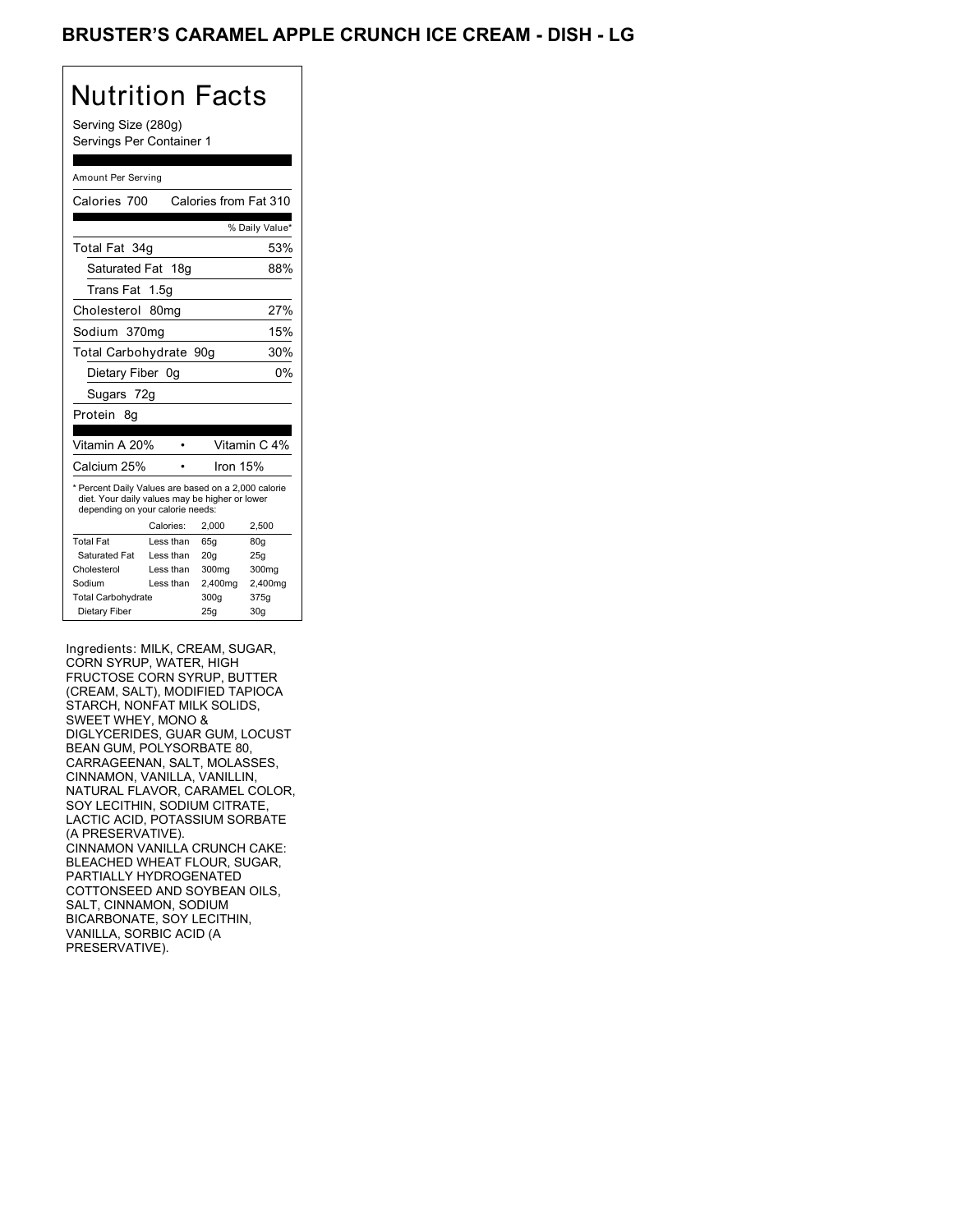## BRUSTER'S CARAMEL APPLE CRUNCH ICE CREAM - DISH - LG

# Nutrition Facts

Serving Size (280g) Servings Per Container 1

#### Amount Per Serving

| Calories 700                                                                                                                              |                  | Calories from Fat 310 |                   |
|-------------------------------------------------------------------------------------------------------------------------------------------|------------------|-----------------------|-------------------|
|                                                                                                                                           |                  |                       | % Daily Value*    |
| Total Fat 34g                                                                                                                             |                  |                       | 53%               |
| Saturated Fat 18g                                                                                                                         |                  |                       | 88%               |
| Trans Fat 1.5g                                                                                                                            |                  |                       |                   |
| Cholesterol                                                                                                                               | 80 <sub>mq</sub> |                       | 27%               |
| Sodium 370mg                                                                                                                              |                  |                       | 15%               |
| Total Carbohydrate 90g                                                                                                                    |                  |                       | 30%               |
| Dietary Fiber 0g                                                                                                                          |                  |                       | 0%                |
| Sugars 72g                                                                                                                                |                  |                       |                   |
| Protein 8q                                                                                                                                |                  |                       |                   |
|                                                                                                                                           |                  |                       |                   |
|                                                                                                                                           |                  |                       |                   |
| Vitamin A 20%                                                                                                                             |                  |                       | Vitamin C 4%      |
| Calcium 25%                                                                                                                               |                  | Iron 15%              |                   |
| * Percent Daily Values are based on a 2,000 calorie<br>diet. Your daily values may be higher or lower<br>depending on your calorie needs: |                  |                       |                   |
|                                                                                                                                           | Calories:        | 2,000                 | 2,500             |
| <b>Total Fat</b>                                                                                                                          | Less than        | 65q                   | 80 <sub>g</sub>   |
| Saturated Fat                                                                                                                             | Less than        | 20q                   | 25q               |
| Cholesterol                                                                                                                               | Less than        | 300mg                 | 300 <sub>mq</sub> |
| Sodium                                                                                                                                    | Less than        | 2,400mg               | 2,400mg           |
| <b>Total Carbohydrate</b>                                                                                                                 |                  | 300g                  | 375g              |

Ingredients: MILK, CREAM, SUGAR, CORN SYRUP, WATER, HIGH FRUCTOSE CORN SYRUP, BUTTER (CREAM, SALT), MODIFIED TAPIOCA STARCH, NONFAT MILK SOLIDS, SWEET WHEY, MONO & DIGLYCERIDES, GUAR GUM, LOCUST BEAN GUM, POLYSORBATE 80, CARRAGEENAN, SALT, MOLASSES, CINNAMON, VANILLA, VANILLIN, NATURAL FLAVOR, CARAMEL COLOR, SOY LECITHIN, SODIUM CITRATE, LACTIC ACID, POTASSIUM SORBATE (A PRESERVATIVE). CINNAMON VANILLA CRUNCH CAKE: BLEACHED WHEAT FLOUR, SUGAR, PARTIALLY HYDROGENATED COTTONSEED AND SOYBEAN OILS, SALT, CINNAMON, SODIUM BICARBONATE, SOY LECITHIN, VANILLA, SORBIC ACID (A PRESERVATIVE).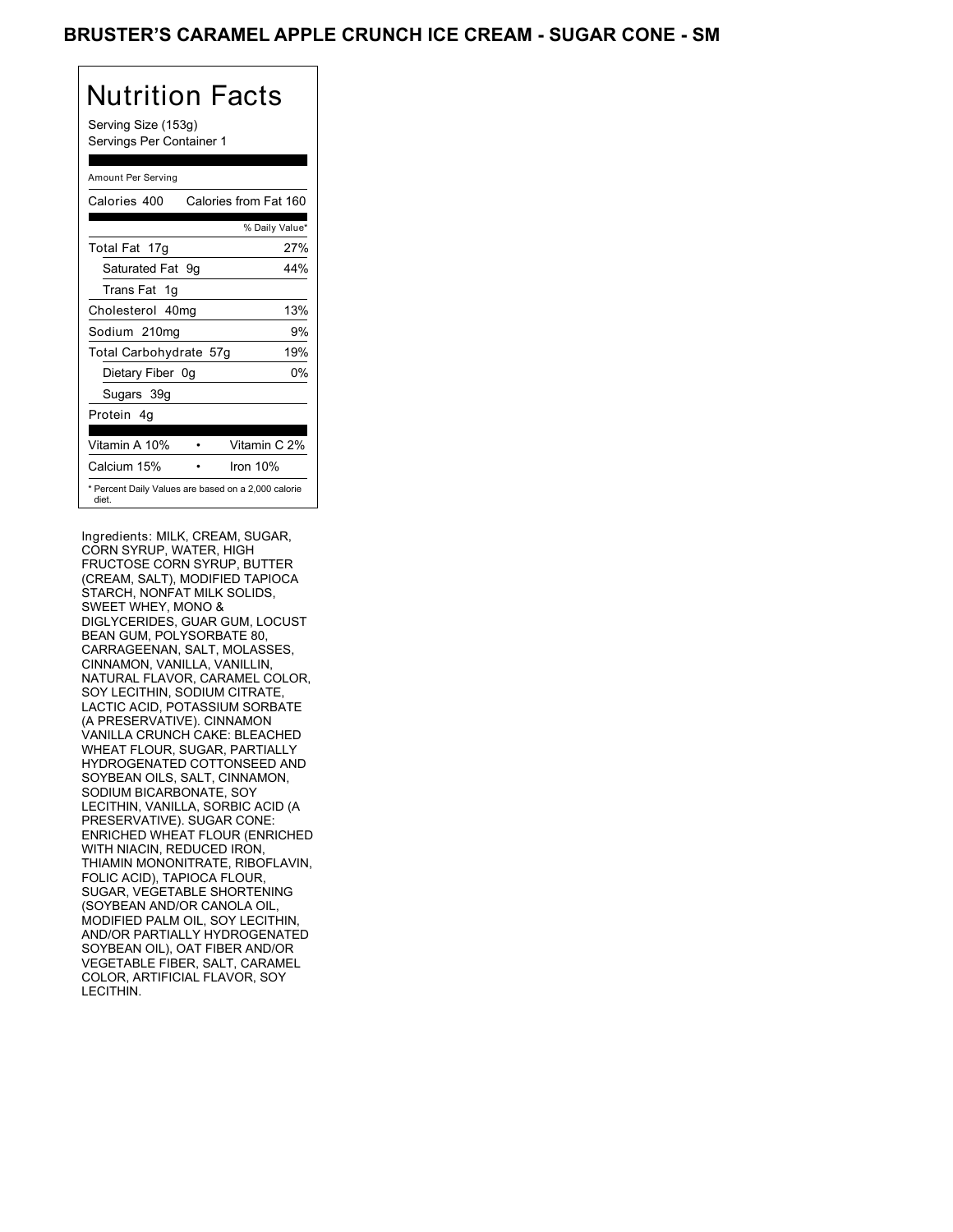## BRUSTER'S CARAMEL APPLE CRUNCH ICE CREAM - SUGAR CONE - SM

# Nutrition Facts

Serving Size (153g) Servings Per Container 1

#### Amount Per Serving

| Calories 400                                                 |  | Calories from Fat 160 |    |
|--------------------------------------------------------------|--|-----------------------|----|
|                                                              |  | % Daily Value*        |    |
| Total Fat 17g                                                |  | 27%                   |    |
| Saturated Fat 9g                                             |  | 44%                   |    |
| Trans Fat 1q                                                 |  |                       |    |
| Cholesterol 40mg                                             |  | 13%                   |    |
| Sodium 210mg                                                 |  |                       | 9% |
| Total Carbohydrate 57g                                       |  | 19%                   |    |
| Dietary Fiber 0g                                             |  |                       | 0% |
| Sugars 39g                                                   |  |                       |    |
| Protein 4q                                                   |  |                       |    |
|                                                              |  |                       |    |
| Vitamin A 10%                                                |  | Vitamin C 2%          |    |
| Calcium 15%                                                  |  | Iron $10%$            |    |
| * Percent Daily Values are based on a 2,000 calorie<br>diet. |  |                       |    |

Ingredients: MILK, CREAM, SUGAR, CORN SYRUP, WATER, HIGH FRUCTOSE CORN SYRUP, BUTTER (CREAM, SALT), MODIFIED TAPIOCA STARCH, NONFAT MILK SOLIDS, SWEET WHEY, MONO & DIGLYCERIDES, GUAR GUM, LOCUST BEAN GUM, POLYSORBATE 80, CARRAGEENAN, SALT, MOLASSES, CINNAMON, VANILLA, VANILLIN, NATURAL FLAVOR, CARAMEL COLOR, SOY LECITHIN, SODIUM CITRATE, LACTIC ACID, POTASSIUM SORBATE (A PRESERVATIVE). CINNAMON VANILLA CRUNCH CAKE: BLEACHED WHEAT FLOUR, SUGAR, PARTIALLY HYDROGENATED COTTONSEED AND SOYBEAN OILS, SALT, CINNAMON, SODIUM BICARBONATE, SOY LECITHIN, VANILLA, SORBIC ACID (A PRESERVATIVE). SUGAR CONE: ENRICHED WHEAT FLOUR (ENRICHED WITH NIACIN, REDUCED IRON, THIAMIN MONONITRATE, RIBOFLAVIN, FOLIC ACID), TAPIOCA FLOUR, SUGAR, VEGETABLE SHORTENING (SOYBEAN AND/OR CANOLA OIL, MODIFIED PALM OIL, SOY LECITHIN, AND/OR PARTIALLY HYDROGENATED SOYBEAN OIL), OAT FIBER AND/OR VEGETABLE FIBER, SALT, CARAMEL COLOR, ARTIFICIAL FLAVOR, SOY LECITHIN.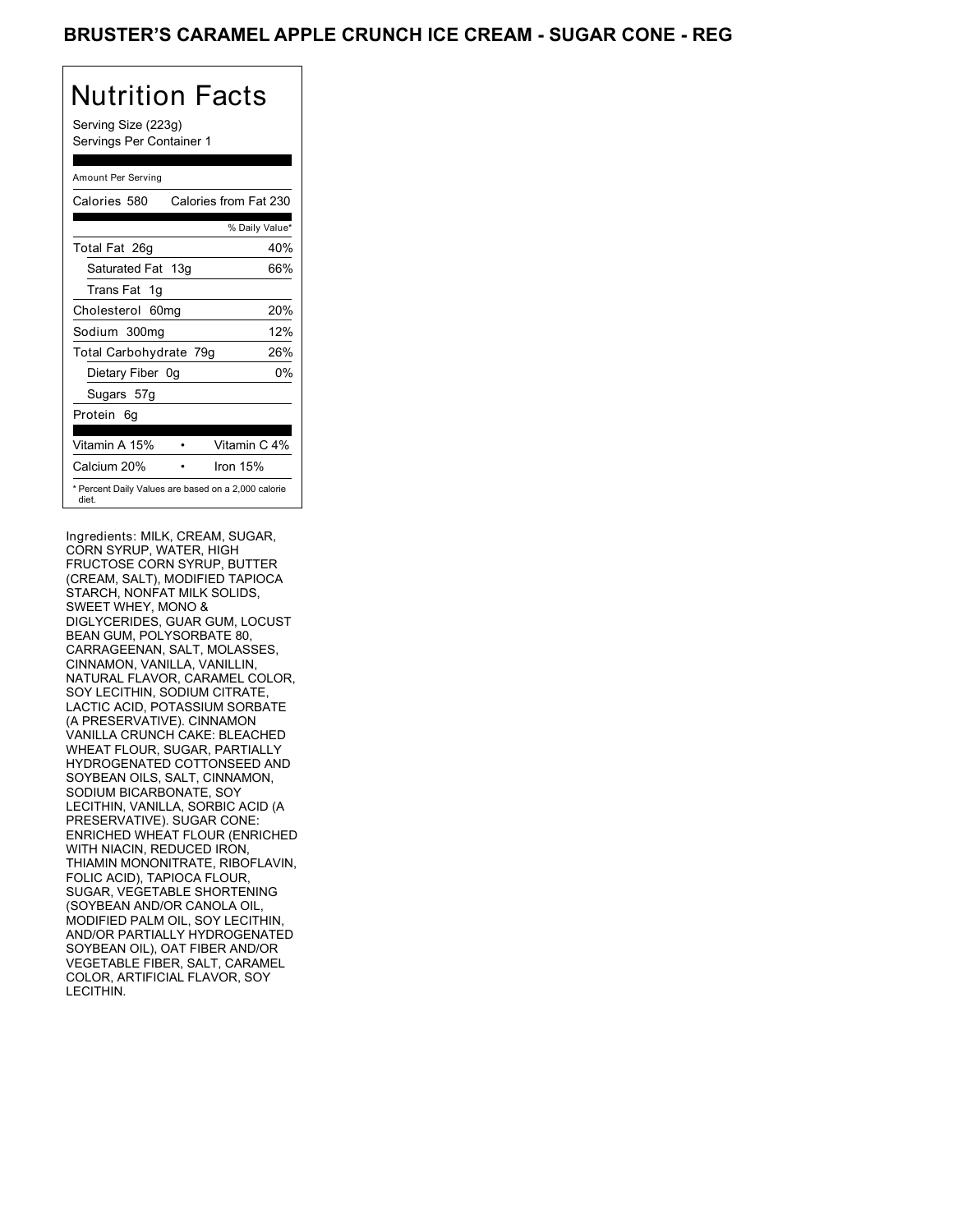## BRUSTER'S CARAMEL APPLE CRUNCH ICE CREAM - SUGAR CONE - REG

# Nutrition Facts

Serving Size (223g) Servings Per Container 1

### Amount Per Serving Calories 580 Calories from Fat 230 % Daily Value\* Total Fat 26g 40% Saturated Fat 13g 66% Trans Fat 1g Cholesterol 60mg 20% Sodium 300mg 12% Total Carbohydrate 79g 26% Dietary Fiber 0g 0% Sugars 57g Protein 6g Vitamin A 15% • Vitamin C 4% Calcium 20% • Iron 15% \* Percent Daily Values are based on a 2,000 calorie diet.

Ingredients: MILK, CREAM, SUGAR, CORN SYRUP, WATER, HIGH FRUCTOSE CORN SYRUP, BUTTER (CREAM, SALT), MODIFIED TAPIOCA STARCH, NONFAT MILK SOLIDS, SWEET WHEY, MONO & DIGLYCERIDES, GUAR GUM, LOCUST BEAN GUM, POLYSORBATE 80, CARRAGEENAN, SALT, MOLASSES, CINNAMON, VANILLA, VANILLIN, NATURAL FLAVOR, CARAMEL COLOR, SOY LECITHIN, SODIUM CITRATE, LACTIC ACID, POTASSIUM SORBATE (A PRESERVATIVE). CINNAMON VANILLA CRUNCH CAKE: BLEACHED WHEAT FLOUR, SUGAR, PARTIALLY HYDROGENATED COTTONSEED AND SOYBEAN OILS, SALT, CINNAMON, SODIUM BICARBONATE, SOY LECITHIN, VANILLA, SORBIC ACID (A PRESERVATIVE). SUGAR CONE: ENRICHED WHEAT FLOUR (ENRICHED WITH NIACIN, REDUCED IRON, THIAMIN MONONITRATE, RIBOFLAVIN, FOLIC ACID), TAPIOCA FLOUR, SUGAR, VEGETABLE SHORTENING (SOYBEAN AND/OR CANOLA OIL, MODIFIED PALM OIL, SOY LECITHIN, AND/OR PARTIALLY HYDROGENATED SOYBEAN OIL), OAT FIBER AND/OR VEGETABLE FIBER, SALT, CARAMEL COLOR, ARTIFICIAL FLAVOR, SOY LECITHIN.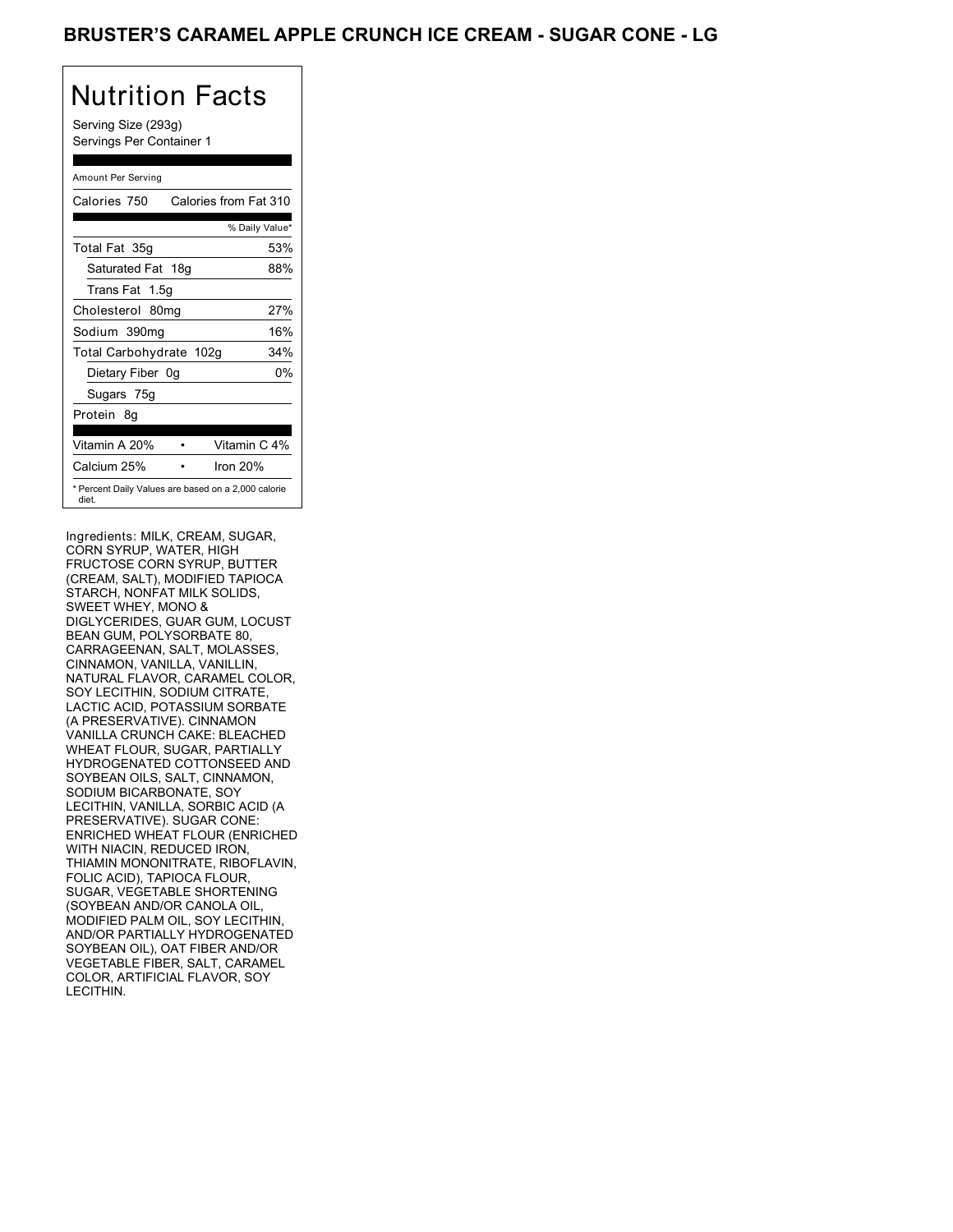## BRUSTER'S CARAMEL APPLE CRUNCH ICE CREAM - SUGAR CONE - LG

# Nutrition Facts

Serving Size (293g) Servings Per Container 1

#### Amount Per Serving

| Calories 750            | Calories from Fat 310                               |
|-------------------------|-----------------------------------------------------|
|                         | % Daily Value*                                      |
| Total Fat 35g           | 53%                                                 |
| Saturated Fat 18g       | 88%                                                 |
| Trans Fat 1.5g          |                                                     |
| Cholesterol 80mg        | 27%                                                 |
| Sodium 390mg            | 16%                                                 |
| Total Carbohydrate 102g | 34%                                                 |
| Dietary Fiber 0g        | 0%                                                  |
| Sugars 75g              |                                                     |
| Protein 8q              |                                                     |
| Vitamin A 20%           | Vitamin C 4%                                        |
| Calcium 25%             | Iron 20%                                            |
| diet.                   | * Percent Daily Values are based on a 2,000 calorie |

Ingredients: MILK, CREAM, SUGAR, CORN SYRUP, WATER, HIGH FRUCTOSE CORN SYRUP, BUTTER (CREAM, SALT), MODIFIED TAPIOCA STARCH, NONFAT MILK SOLIDS, SWEET WHEY, MONO & DIGLYCERIDES, GUAR GUM, LOCUST BEAN GUM, POLYSORBATE 80, CARRAGEENAN, SALT, MOLASSES, CINNAMON, VANILLA, VANILLIN, NATURAL FLAVOR, CARAMEL COLOR, SOY LECITHIN, SODIUM CITRATE, LACTIC ACID, POTASSIUM SORBATE (A PRESERVATIVE). CINNAMON VANILLA CRUNCH CAKE: BLEACHED WHEAT FLOUR, SUGAR, PARTIALLY HYDROGENATED COTTONSEED AND SOYBEAN OILS, SALT, CINNAMON, SODIUM BICARBONATE, SOY LECITHIN, VANILLA, SORBIC ACID (A PRESERVATIVE). SUGAR CONE: ENRICHED WHEAT FLOUR (ENRICHED WITH NIACIN, REDUCED IRON, THIAMIN MONONITRATE, RIBOFLAVIN, FOLIC ACID), TAPIOCA FLOUR, SUGAR, VEGETABLE SHORTENING (SOYBEAN AND/OR CANOLA OIL, MODIFIED PALM OIL, SOY LECITHIN, AND/OR PARTIALLY HYDROGENATED SOYBEAN OIL), OAT FIBER AND/OR VEGETABLE FIBER, SALT, CARAMEL COLOR, ARTIFICIAL FLAVOR, SOY LECITHIN.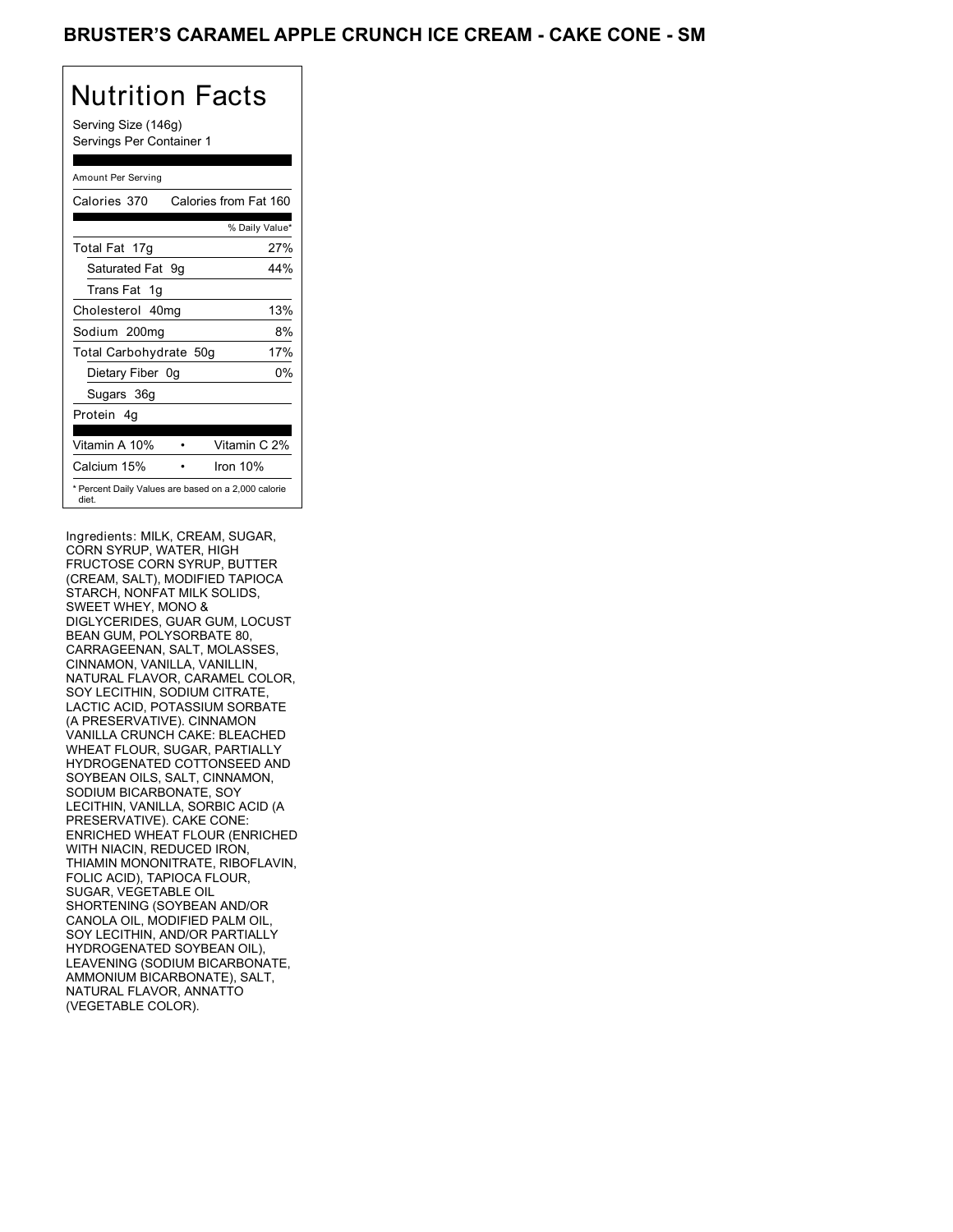## BRUSTER'S CARAMEL APPLE CRUNCH ICE CREAM - CAKE CONE - SM

## Nutrition Facts

Serving Size (146g) Servings Per Container 1

#### Amount Per Serving Calories 370 Calories from Fat 160 % Daily Value\* Total Fat 17g 27% Saturated Fat 9g 44% Trans Fat 1g Cholesterol 40mg 13% Sodium 200mg 8% Total Carbohydrate 50g 17% Dietary Fiber 0g 0% Sugars 36g Protein 4g Vitamin A 10% • Vitamin C 2% Calcium 15% • Iron 10% \* Percent Daily Values are based on a 2,000 calorie diet.

Ingredients: MILK, CREAM, SUGAR, CORN SYRUP, WATER, HIGH FRUCTOSE CORN SYRUP, BUTTER (CREAM, SALT), MODIFIED TAPIOCA STARCH, NONFAT MILK SOLIDS, SWEET WHEY, MONO & DIGLYCERIDES, GUAR GUM, LOCUST BEAN GUM, POLYSORBATE 80, CARRAGEENAN, SALT, MOLASSES, CINNAMON, VANILLA, VANILLIN, NATURAL FLAVOR, CARAMEL COLOR, SOY LECITHIN, SODIUM CITRATE, LACTIC ACID, POTASSIUM SORBATE (A PRESERVATIVE). CINNAMON VANILLA CRUNCH CAKE: BLEACHED WHEAT FLOUR, SUGAR, PARTIALLY HYDROGENATED COTTONSEED AND SOYBEAN OILS, SALT, CINNAMON, SODIUM BICARBONATE, SOY LECITHIN, VANILLA, SORBIC ACID (A PRESERVATIVE). CAKE CONE: ENRICHED WHEAT FLOUR (ENRICHED WITH NIACIN, REDUCED IRON, THIAMIN MONONITRATE, RIBOFLAVIN, FOLIC ACID), TAPIOCA FLOUR, SUGAR, VEGETABLE OIL SHORTENING (SOYBEAN AND/OR CANOLA OIL, MODIFIED PALM OIL, SOY LECITHIN, AND/OR PARTIALLY HYDROGENATED SOYBEAN OIL), LEAVENING (SODIUM BICARBONATE, AMMONIUM BICARBONATE), SALT, NATURAL FLAVOR, ANNATTO (VEGETABLE COLOR).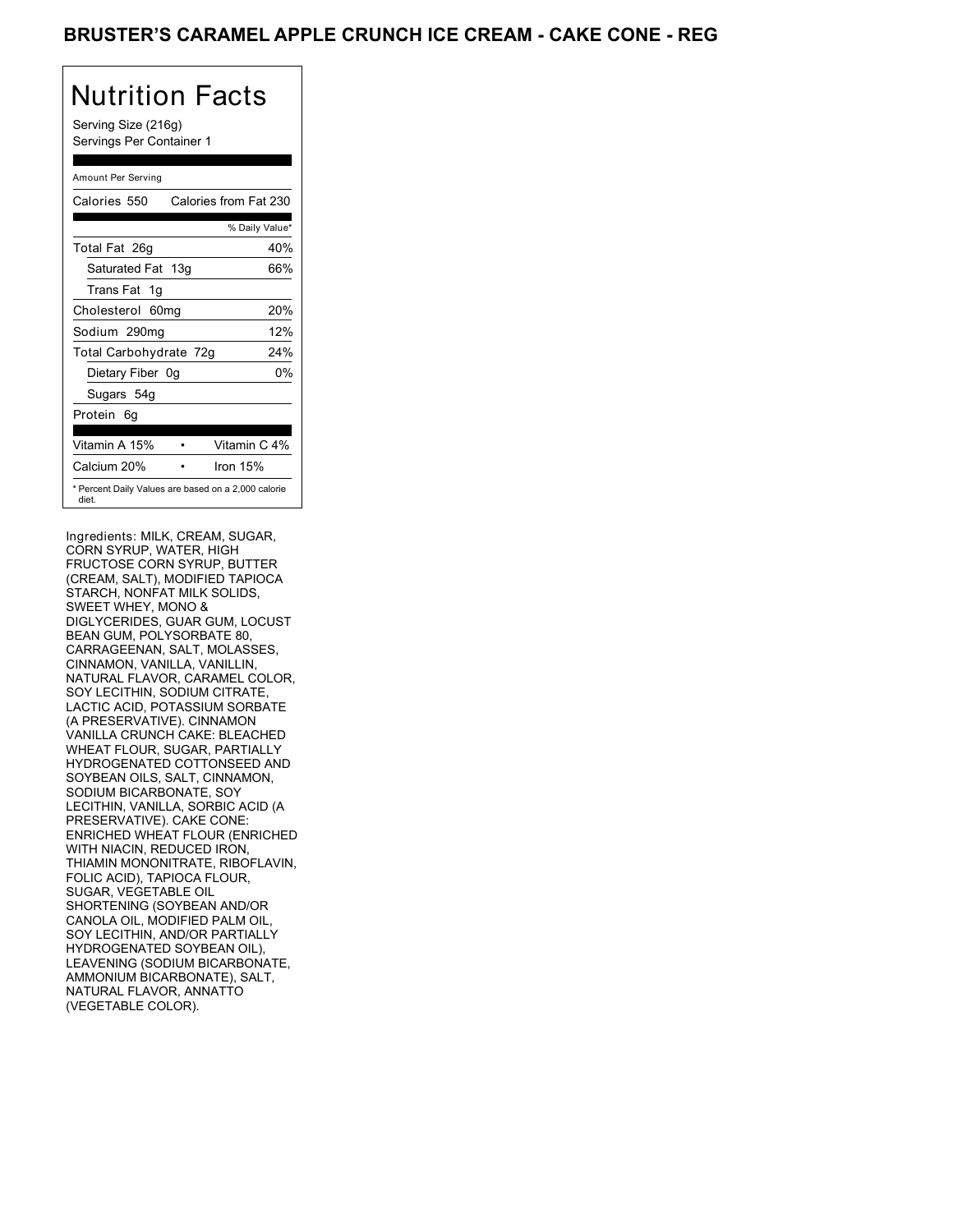## BRUSTER'S CARAMEL APPLE CRUNCH ICE CREAM - CAKE CONE - REG

## Nutrition Facts

Serving Size (216g) Servings Per Container 1

| Amount Per Serving                                           |                       |
|--------------------------------------------------------------|-----------------------|
| Calories 550                                                 | Calories from Fat 230 |
|                                                              | % Daily Value*        |
| Total Fat 26g                                                | 40%                   |
| Saturated Fat 13g                                            | 66%                   |
| Trans Fat 1q                                                 |                       |
| Cholesterol 60mg                                             | 20%                   |
| Sodium 290mg                                                 | 12%                   |
| Total Carbohydrate 72g                                       | 24%                   |
| Dietary Fiber 0g                                             | 0%                    |
| Sugars 54g                                                   |                       |
| Protein<br>6g                                                |                       |
|                                                              |                       |
| Vitamin A 15%                                                | Vitamin C 4%          |
| Calcium 20%                                                  | Iron 15%              |
| * Percent Daily Values are based on a 2,000 calorie<br>diet. |                       |

Ingredients: MILK, CREAM, SUGAR, CORN SYRUP, WATER, HIGH FRUCTOSE CORN SYRUP, BUTTER (CREAM, SALT), MODIFIED TAPIOCA STARCH, NONFAT MILK SOLIDS, SWEET WHEY, MONO & DIGLYCERIDES, GUAR GUM, LOCUST BEAN GUM, POLYSORBATE 80, CARRAGEENAN, SALT, MOLASSES, CINNAMON, VANILLA, VANILLIN, NATURAL FLAVOR, CARAMEL COLOR, SOY LECITHIN, SODIUM CITRATE, LACTIC ACID, POTASSIUM SORBATE (A PRESERVATIVE). CINNAMON VANILLA CRUNCH CAKE: BLEACHED WHEAT FLOUR, SUGAR, PARTIALLY HYDROGENATED COTTONSEED AND SOYBEAN OILS, SALT, CINNAMON, SODIUM BICARBONATE, SOY LECITHIN, VANILLA, SORBIC ACID (A PRESERVATIVE). CAKE CONE: ENRICHED WHEAT FLOUR (ENRICHED WITH NIACIN, REDUCED IRON, THIAMIN MONONITRATE, RIBOFLAVIN, FOLIC ACID), TAPIOCA FLOUR, SUGAR, VEGETABLE OIL SHORTENING (SOYBEAN AND/OR CANOLA OIL, MODIFIED PALM OIL, SOY LECITHIN, AND/OR PARTIALLY HYDROGENATED SOYBEAN OIL), LEAVENING (SODIUM BICARBONATE, AMMONIUM BICARBONATE), SALT, NATURAL FLAVOR, ANNATTO (VEGETABLE COLOR).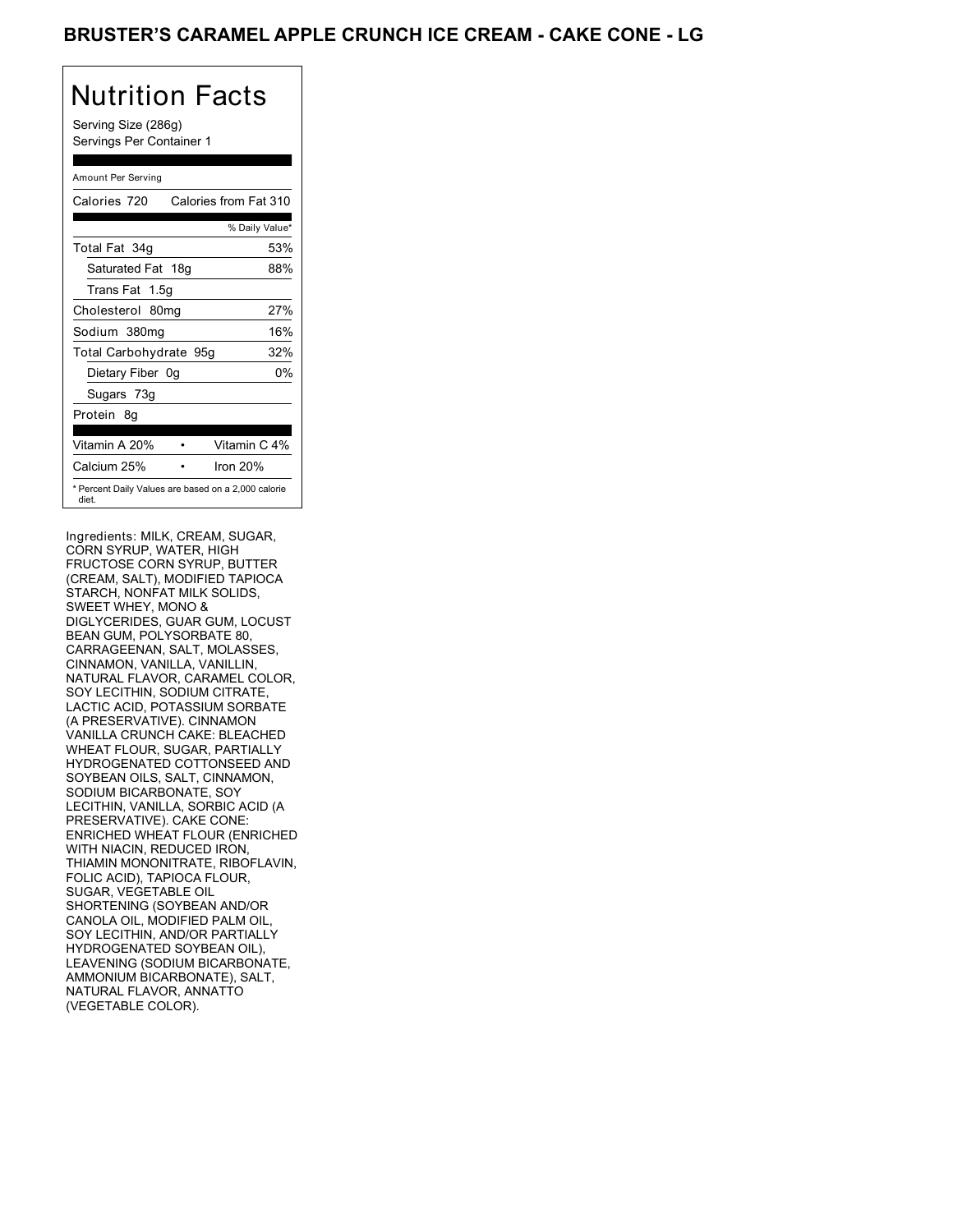## BRUSTER'S CARAMEL APPLE CRUNCH ICE CREAM - CAKE CONE - LG

# Nutrition Facts

Serving Size (286g) Servings Per Container 1

#### Amount Per Serving

| Calories 720                                                 | Calories from Fat 310 |
|--------------------------------------------------------------|-----------------------|
|                                                              | % Daily Value*        |
| Total Fat 34g                                                | 53%                   |
| Saturated Fat 18g                                            | 88%                   |
| Trans Fat 1.5q                                               |                       |
| Cholesterol 80mg                                             | 27%                   |
| Sodium 380mg                                                 | 16%                   |
| Total Carbohydrate 95g                                       | 32%                   |
| Dietary Fiber 0g                                             | 0%                    |
| Sugars 73g                                                   |                       |
| Protein 8g                                                   |                       |
| Vitamin A 20%                                                | Vitamin C 4%          |
| Calcium 25%                                                  | Iron 20%              |
| * Percent Daily Values are based on a 2,000 calorie<br>diet. |                       |

Ingredients: MILK, CREAM, SUGAR, CORN SYRUP, WATER, HIGH FRUCTOSE CORN SYRUP, BUTTER (CREAM, SALT), MODIFIED TAPIOCA STARCH, NONFAT MILK SOLIDS, SWEET WHEY, MONO & DIGLYCERIDES, GUAR GUM, LOCUST BEAN GUM, POLYSORBATE 80, CARRAGEENAN, SALT, MOLASSES, CINNAMON, VANILLA, VANILLIN, NATURAL FLAVOR, CARAMEL COLOR, SOY LECITHIN, SODIUM CITRATE, LACTIC ACID, POTASSIUM SORBATE (A PRESERVATIVE). CINNAMON VANILLA CRUNCH CAKE: BLEACHED WHEAT FLOUR, SUGAR, PARTIALLY HYDROGENATED COTTONSEED AND SOYBEAN OILS, SALT, CINNAMON, SODIUM BICARBONATE, SOY LECITHIN, VANILLA, SORBIC ACID (A PRESERVATIVE). CAKE CONE: ENRICHED WHEAT FLOUR (ENRICHED WITH NIACIN, REDUCED IRON, THIAMIN MONONITRATE, RIBOFLAVIN, FOLIC ACID), TAPIOCA FLOUR, SUGAR, VEGETABLE OIL SHORTENING (SOYBEAN AND/OR CANOLA OIL, MODIFIED PALM OIL, SOY LECITHIN, AND/OR PARTIALLY HYDROGENATED SOYBEAN OIL), LEAVENING (SODIUM BICARBONATE, AMMONIUM BICARBONATE), SALT, NATURAL FLAVOR, ANNATTO (VEGETABLE COLOR).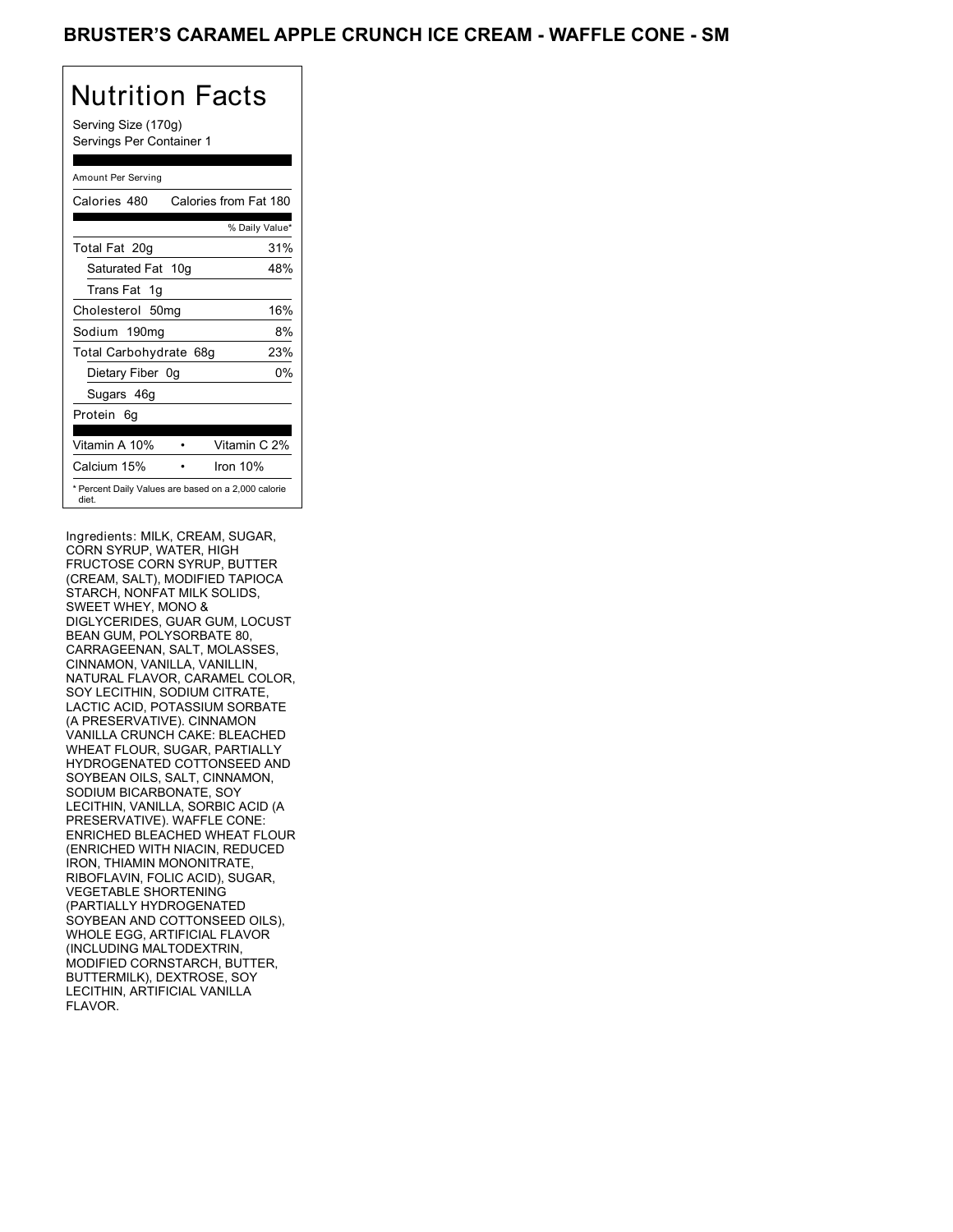## Nutrition Facts

Serving Size (170g) Servings Per Container 1

| Amount Per Serving                                           |                       |
|--------------------------------------------------------------|-----------------------|
| Calories 480                                                 | Calories from Fat 180 |
|                                                              | % Daily Value*        |
| Total Fat 20g                                                | 31%                   |
| Saturated Fat 10g                                            | 48%                   |
| Trans Fat 1q                                                 |                       |
| Cholesterol 50mg                                             | 16%                   |
| Sodium 190mg                                                 | 8%                    |
| Total Carbohydrate 68g                                       | 23%                   |
| Dietary Fiber 0g                                             | 0%                    |
| Sugars 46g                                                   |                       |
| Protein<br>6g                                                |                       |
|                                                              |                       |
| Vitamin A 10%                                                | Vitamin C 2%          |
| Calcium 15%                                                  | Iron 10%              |
| * Percent Daily Values are based on a 2,000 calorie<br>diet. |                       |

Ingredients: MILK, CREAM, SUGAR, CORN SYRUP, WATER, HIGH FRUCTOSE CORN SYRUP, BUTTER (CREAM, SALT), MODIFIED TAPIOCA STARCH, NONFAT MILK SOLIDS, SWEET WHEY, MONO & DIGLYCERIDES, GUAR GUM, LOCUST BEAN GUM, POLYSORBATE 80, CARRAGEENAN, SALT, MOLASSES, CINNAMON, VANILLA, VANILLIN, NATURAL FLAVOR, CARAMEL COLOR, SOY LECITHIN, SODIUM CITRATE, LACTIC ACID, POTASSIUM SORBATE (A PRESERVATIVE). CINNAMON VANILLA CRUNCH CAKE: BLEACHED WHEAT FLOUR, SUGAR, PARTIALLY HYDROGENATED COTTONSEED AND SOYBEAN OILS, SALT, CINNAMON, SODIUM BICARBONATE, SOY LECITHIN, VANILLA, SORBIC ACID (A PRESERVATIVE). WAFFLE CONE: ENRICHED BLEACHED WHEAT FLOUR (ENRICHED WITH NIACIN, REDUCED IRON, THIAMIN MONONITRATE, RIBOFLAVIN, FOLIC ACID), SUGAR, VEGETABLE SHORTENING (PARTIALLY HYDROGENATED SOYBEAN AND COTTONSEED OILS), WHOLE EGG, ARTIFICIAL FLAVOR (INCLUDING MALTODEXTRIN, MODIFIED CORNSTARCH, BUTTER, BUTTERMILK), DEXTROSE, SOY LECITHIN, ARTIFICIAL VANILLA FLAVOR.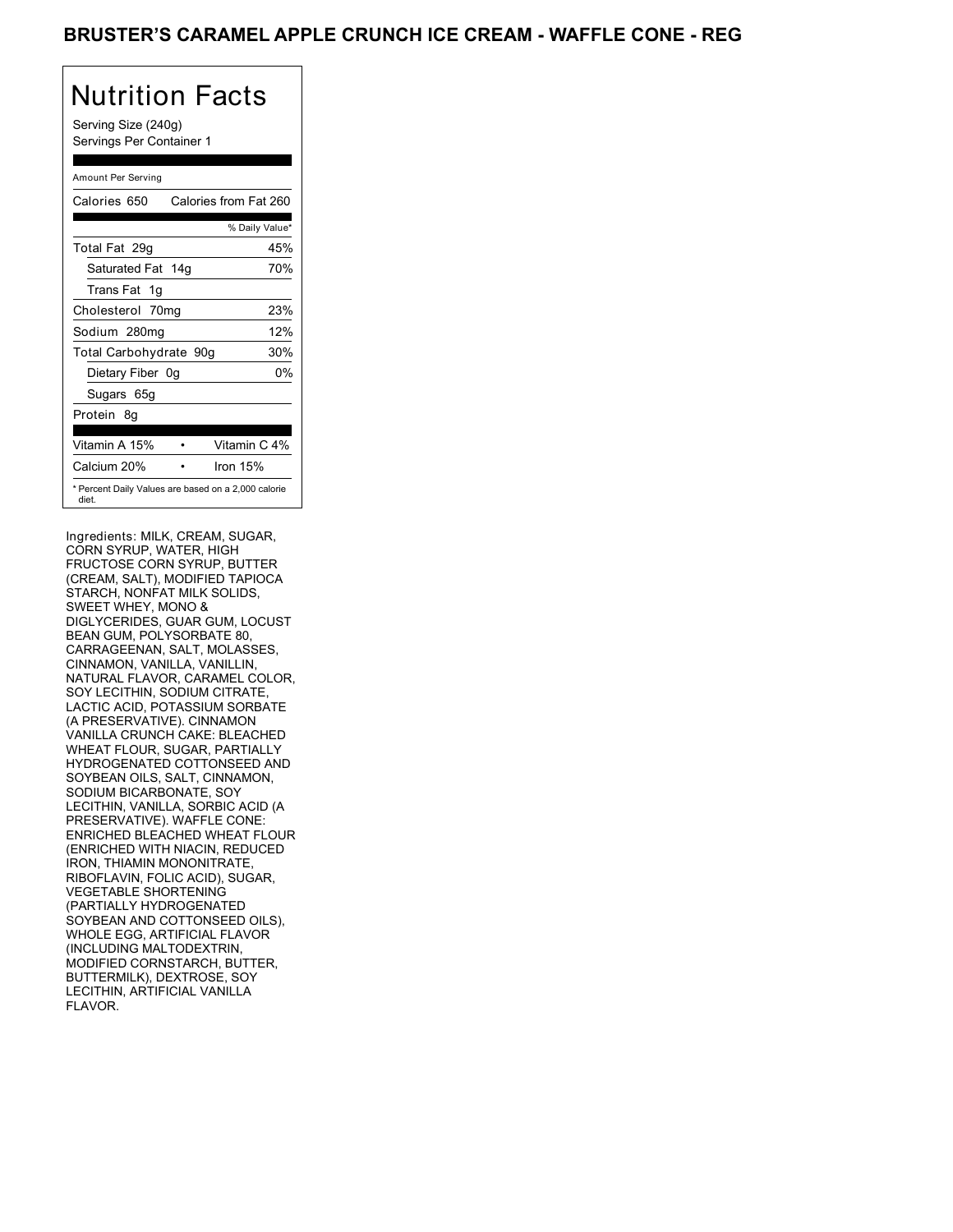## BRUSTER'S CARAMEL APPLE CRUNCH ICE CREAM - WAFFLE CONE - REG

## Nutrition Facts

Serving Size (240g) Servings Per Container 1

### Amount Per Serving Calories 650 Calories from Fat 260 % Daily Value\* Total Fat 29g 45% Saturated Fat 14g 70% Trans Fat 1g Cholesterol 70mg 23% Sodium 280mg 12% Total Carbohydrate 90g 30% Dietary Fiber 0g 0% Sugars 65g Protein 8g Vitamin A 15% • Vitamin C 4% Calcium 20% • Iron 15% \* Percent Daily Values are based on a 2,000 calorie diet.

Ingredients: MILK, CREAM, SUGAR, CORN SYRUP, WATER, HIGH FRUCTOSE CORN SYRUP, BUTTER (CREAM, SALT), MODIFIED TAPIOCA STARCH, NONFAT MILK SOLIDS, SWEET WHEY, MONO & DIGLYCERIDES, GUAR GUM, LOCUST BEAN GUM, POLYSORBATE 80, CARRAGEENAN, SALT, MOLASSES, CINNAMON, VANILLA, VANILLIN, NATURAL FLAVOR, CARAMEL COLOR, SOY LECITHIN, SODIUM CITRATE, LACTIC ACID, POTASSIUM SORBATE (A PRESERVATIVE). CINNAMON VANILLA CRUNCH CAKE: BLEACHED WHEAT FLOUR, SUGAR, PARTIALLY HYDROGENATED COTTONSEED AND SOYBEAN OILS, SALT, CINNAMON, SODIUM BICARBONATE, SOY LECITHIN, VANILLA, SORBIC ACID (A PRESERVATIVE). WAFFLE CONE: ENRICHED BLEACHED WHEAT FLOUR (ENRICHED WITH NIACIN, REDUCED IRON, THIAMIN MONONITRATE, RIBOFLAVIN, FOLIC ACID), SUGAR, VEGETABLE SHORTENING (PARTIALLY HYDROGENATED SOYBEAN AND COTTONSEED OILS), WHOLE EGG, ARTIFICIAL FLAVOR (INCLUDING MALTODEXTRIN, MODIFIED CORNSTARCH, BUTTER, BUTTERMILK), DEXTROSE, SOY LECITHIN, ARTIFICIAL VANILLA FLAVOR.